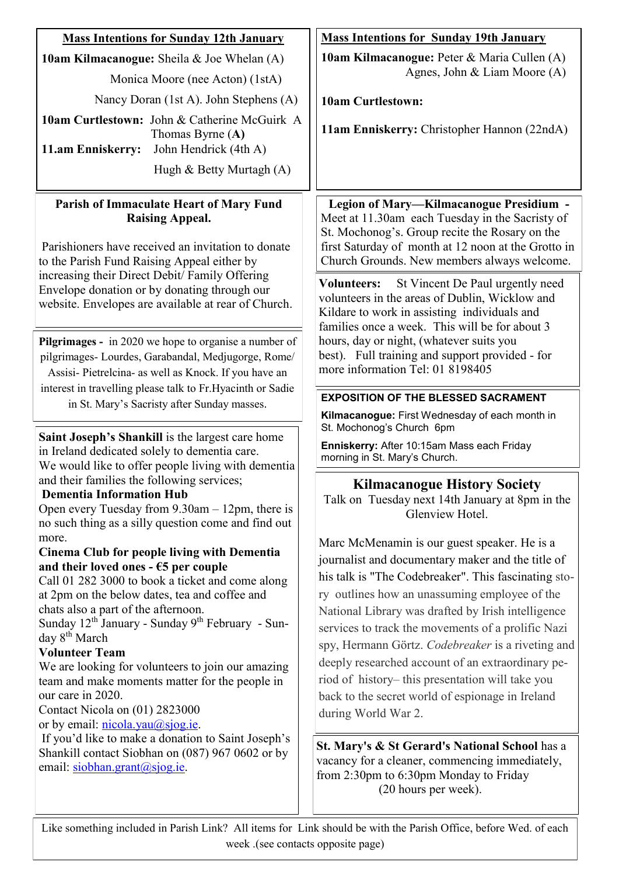| <b>Mass Intentions for Sunday 12th January</b>                                                                                                                                                                                                                                                                                                                                                                                                                                                                                                                                                                                                                                                                                                                                                                                                                                        | <b>Mass Intentions for Sunday 19th January</b>                                                                                                                                                                                                                                                                                                                                                                                                                                                                                                                                                                                                                                                                                                                                                                                                                                                                                            |
|---------------------------------------------------------------------------------------------------------------------------------------------------------------------------------------------------------------------------------------------------------------------------------------------------------------------------------------------------------------------------------------------------------------------------------------------------------------------------------------------------------------------------------------------------------------------------------------------------------------------------------------------------------------------------------------------------------------------------------------------------------------------------------------------------------------------------------------------------------------------------------------|-------------------------------------------------------------------------------------------------------------------------------------------------------------------------------------------------------------------------------------------------------------------------------------------------------------------------------------------------------------------------------------------------------------------------------------------------------------------------------------------------------------------------------------------------------------------------------------------------------------------------------------------------------------------------------------------------------------------------------------------------------------------------------------------------------------------------------------------------------------------------------------------------------------------------------------------|
|                                                                                                                                                                                                                                                                                                                                                                                                                                                                                                                                                                                                                                                                                                                                                                                                                                                                                       |                                                                                                                                                                                                                                                                                                                                                                                                                                                                                                                                                                                                                                                                                                                                                                                                                                                                                                                                           |
| 10am Kilmacanogue: Sheila & Joe Whelan (A)                                                                                                                                                                                                                                                                                                                                                                                                                                                                                                                                                                                                                                                                                                                                                                                                                                            | 10am Kilmacanogue: Peter & Maria Cullen (A)<br>Agnes, John & Liam Moore (A)                                                                                                                                                                                                                                                                                                                                                                                                                                                                                                                                                                                                                                                                                                                                                                                                                                                               |
| Monica Moore (nee Acton) (1stA)                                                                                                                                                                                                                                                                                                                                                                                                                                                                                                                                                                                                                                                                                                                                                                                                                                                       |                                                                                                                                                                                                                                                                                                                                                                                                                                                                                                                                                                                                                                                                                                                                                                                                                                                                                                                                           |
| Nancy Doran (1st A). John Stephens (A)                                                                                                                                                                                                                                                                                                                                                                                                                                                                                                                                                                                                                                                                                                                                                                                                                                                | 10am Curtlestown:                                                                                                                                                                                                                                                                                                                                                                                                                                                                                                                                                                                                                                                                                                                                                                                                                                                                                                                         |
| 10am Curtlestown: John & Catherine McGuirk A<br>Thomas Byrne $(A)$<br>John Hendrick (4th A)<br>11.am Enniskerry:                                                                                                                                                                                                                                                                                                                                                                                                                                                                                                                                                                                                                                                                                                                                                                      | 11am Enniskerry: Christopher Hannon (22ndA)                                                                                                                                                                                                                                                                                                                                                                                                                                                                                                                                                                                                                                                                                                                                                                                                                                                                                               |
| Hugh & Betty Murtagh (A)                                                                                                                                                                                                                                                                                                                                                                                                                                                                                                                                                                                                                                                                                                                                                                                                                                                              |                                                                                                                                                                                                                                                                                                                                                                                                                                                                                                                                                                                                                                                                                                                                                                                                                                                                                                                                           |
| <b>Parish of Immaculate Heart of Mary Fund</b><br><b>Raising Appeal.</b><br>Parishioners have received an invitation to donate<br>to the Parish Fund Raising Appeal either by                                                                                                                                                                                                                                                                                                                                                                                                                                                                                                                                                                                                                                                                                                         | <b>Legion of Mary-Kilmacanogue Presidium -</b><br>Meet at 11.30am each Tuesday in the Sacristy of<br>St. Mochonog's. Group recite the Rosary on the<br>first Saturday of month at 12 noon at the Grotto in<br>Church Grounds. New members always welcome.                                                                                                                                                                                                                                                                                                                                                                                                                                                                                                                                                                                                                                                                                 |
| increasing their Direct Debit/ Family Offering<br>Envelope donation or by donating through our<br>website. Envelopes are available at rear of Church.                                                                                                                                                                                                                                                                                                                                                                                                                                                                                                                                                                                                                                                                                                                                 | St Vincent De Paul urgently need<br><b>Volunteers:</b><br>volunteers in the areas of Dublin, Wicklow and<br>Kildare to work in assisting individuals and<br>families once a week. This will be for about 3                                                                                                                                                                                                                                                                                                                                                                                                                                                                                                                                                                                                                                                                                                                                |
| Pilgrimages - in 2020 we hope to organise a number of<br>pilgrimages- Lourdes, Garabandal, Medjugorge, Rome/<br>Assisi-Pietrelcina- as well as Knock. If you have an<br>interest in travelling please talk to Fr. Hyacinth or Sadie                                                                                                                                                                                                                                                                                                                                                                                                                                                                                                                                                                                                                                                   | hours, day or night, (whatever suits you<br>best). Full training and support provided - for<br>more information Tel: 01 8198405                                                                                                                                                                                                                                                                                                                                                                                                                                                                                                                                                                                                                                                                                                                                                                                                           |
| in St. Mary's Sacristy after Sunday masses.<br>Saint Joseph's Shankill is the largest care home<br>in Ireland dedicated solely to dementia care.                                                                                                                                                                                                                                                                                                                                                                                                                                                                                                                                                                                                                                                                                                                                      | <b>EXPOSITION OF THE BLESSED SACRAMENT</b><br>Kilmacanogue: First Wednesday of each month in<br>St. Mochonog's Church 6pm<br>Enniskerry: After 10:15am Mass each Friday<br>morning in St. Mary's Church.<br><b>Kilmacanogue History Society</b><br>Talk on Tuesday next 14th January at 8pm in the<br>Glenview Hotel.<br>Marc McMenamin is our guest speaker. He is a<br>journalist and documentary maker and the title of<br>his talk is "The Codebreaker". This fascinating sto-<br>ry outlines how an unassuming employee of the<br>National Library was drafted by Irish intelligence<br>services to track the movements of a prolific Nazi<br>spy, Hermann Görtz. Codebreaker is a riveting and<br>deeply researched account of an extraordinary pe-<br>riod of history–this presentation will take you<br>back to the secret world of espionage in Ireland<br>during World War 2.<br>St. Mary's & St Gerard's National School has a |
| We would like to offer people living with dementia<br>and their families the following services;<br><b>Dementia Information Hub</b><br>Open every Tuesday from 9.30am - 12pm, there is<br>no such thing as a silly question come and find out<br>more.<br>Cinema Club for people living with Dementia<br>and their loved ones - $65$ per couple<br>Call 01 282 3000 to book a ticket and come along<br>at 2pm on the below dates, tea and coffee and<br>chats also a part of the afternoon.<br>Sunday 12 <sup>th</sup> January - Sunday 9 <sup>th</sup> February - Sun-<br>day 8 <sup>th</sup> March<br><b>Volunteer Team</b><br>We are looking for volunteers to join our amazing<br>team and make moments matter for the people in<br>our care in 2020.<br>Contact Nicola on (01) 2823000<br>or by email: nicola.yau@sjog.ie.<br>If you'd like to make a donation to Saint Joseph's |                                                                                                                                                                                                                                                                                                                                                                                                                                                                                                                                                                                                                                                                                                                                                                                                                                                                                                                                           |
| Shankill contact Siobhan on (087) 967 0602 or by<br>email: siobhan.grant@sjog.ie.                                                                                                                                                                                                                                                                                                                                                                                                                                                                                                                                                                                                                                                                                                                                                                                                     | vacancy for a cleaner, commencing immediately,<br>from 2:30pm to 6:30pm Monday to Friday<br>(20 hours per week).                                                                                                                                                                                                                                                                                                                                                                                                                                                                                                                                                                                                                                                                                                                                                                                                                          |

Like something included in Parish Link? All items for Link should be with the Parish Office, before Wed. of each week .(see contacts opposite page)